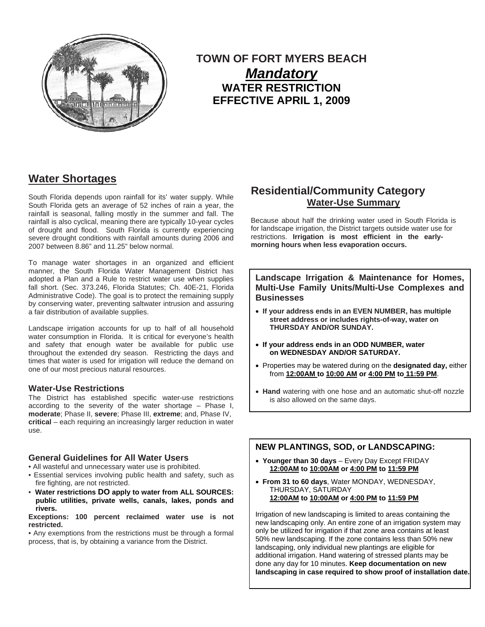

# **TOWN OF FORT MYERS BEACH**  *Mandatory* **WATER RESTRICTION EFFECTIVE APRIL 1, 2009**

# **Water Shortages**

South Florida depends upon rainfall for its' water supply. While South Florida gets an average of 52 inches of rain a year, the rainfall is seasonal, falling mostly in the summer and fall. The rainfall is also cyclical, meaning there are typically 10-year cycles of drought and flood. South Florida is currently experiencing severe drought conditions with rainfall amounts during 2006 and 2007 between 8.86" and 11.25" below normal.

To manage water shortages in an organized and efficient manner, the South Florida Water Management District has adopted a Plan and a Rule to restrict water use when supplies fall short. (Sec. 373.246, Florida Statutes; Ch. 40E-21, Florida Administrative Code). The goal is to protect the remaining supply by conserving water, preventing saltwater intrusion and assuring a fair distribution of available supplies.

Landscape irrigation accounts for up to half of all household water consumption in Florida. It is critical for everyone's health and safety that enough water be available for public use throughout the extended dry season. Restricting the days and times that water is used for irrigation will reduce the demand on one of our most precious natural resources.

#### **Water-Use Restrictions**

The District has established specific water-use restrictions according to the severity of the water shortage – Phase I, **moderate**; Phase II, **severe**; Phase III, **extreme**; and, Phase IV, **critical** – each requiring an increasingly larger reduction in water use.

#### **General Guidelines for All Water Users**

• All wasteful and unnecessary water use is prohibited.

- Essential services involving public health and safety, such as fire fighting, are not restricted.
- **Water restrictions DO apply to water from ALL SOURCES: public utilities, private wells, canals, lakes, ponds and rivers.**

**Exceptions: 100 percent reclaimed water use is not restricted.** 

• Any exemptions from the restrictions must be through a formal process, that is, by obtaining a variance from the District.

# **Residential/Community Category Water-Use Summary**

Because about half the drinking water used in South Florida is for landscape irrigation, the District targets outside water use for restrictions. **Irrigation is most efficient in the earlymorning hours when less evaporation occurs.** 

**Landscape Irrigation & Maintenance for Homes, Multi-Use Family Units/Multi-Use Complexes and Businesses** 

- **If your address ends in an EVEN NUMBER, has multiple street address or includes rights-of-way, water on THURSDAY AND/OR SUNDAY.**
- **If your address ends in an ODD NUMBER, water on WEDNESDAY AND/OR SATURDAY.**
- Properties may be watered during on the **designated day,** either from **12:00AM to 10:00 AM or 4:00 PM to 11:59 PM**.
- **Hand** watering with one hose and an automatic shut-off nozzle is also allowed on the same days.

### **NEW PLANTINGS, SOD, or LANDSCAPING:**

- **Younger than 30 days** Every Day Except FRIDAY **12:00AM to 10:00AM or 4:00 PM to 11:59 PM**
- **From 31 to 60 days**, Water MONDAY, WEDNESDAY, THURSDAY, SATURDAY **12:00AM to 10:00AM or 4:00 PM to 11:59 PM**

Irrigation of new landscaping is limited to areas containing the new landscaping only. An entire zone of an irrigation system may only be utilized for irrigation if that zone area contains at least 50% new landscaping. If the zone contains less than 50% new landscaping, only individual new plantings are eligible for additional irrigation. Hand watering of stressed plants may be done any day for 10 minutes. **Keep documentation on new landscaping in case required to show proof of installation date.**